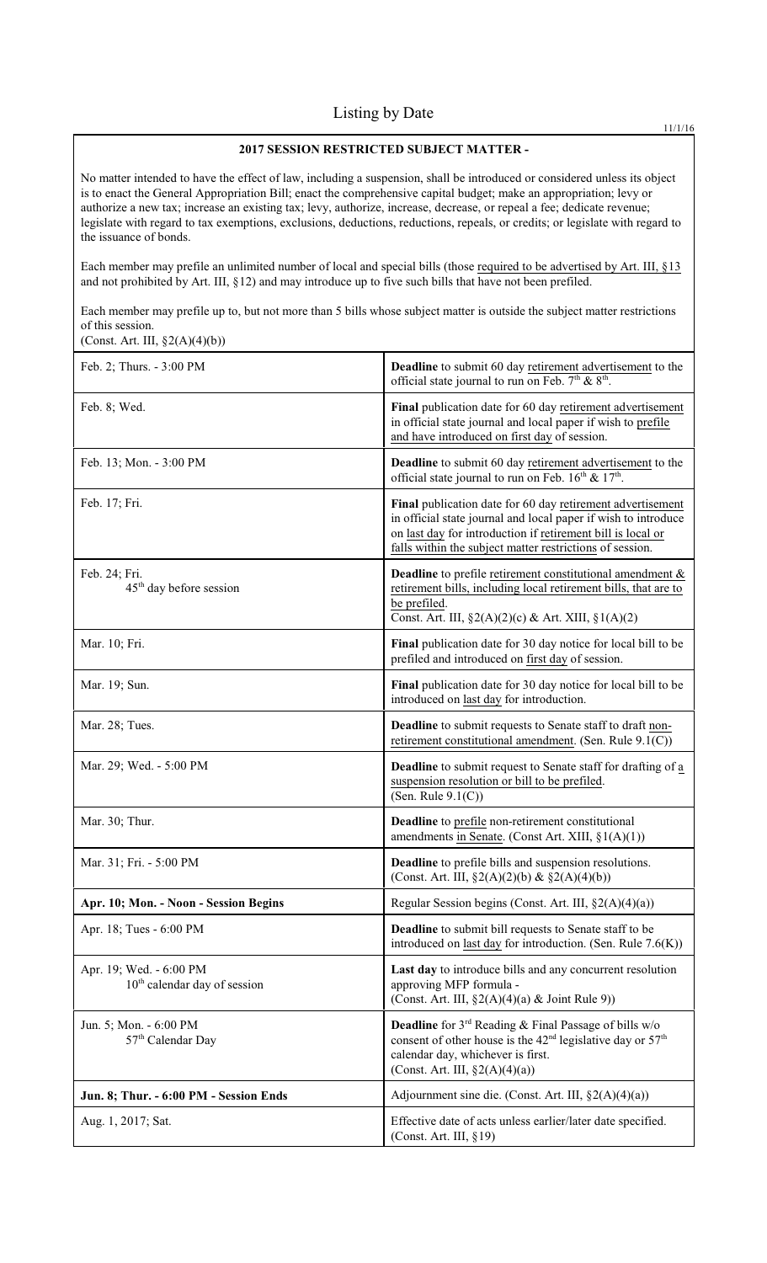# **2017 SESSION RESTRICTED SUBJECT MATTER -**

No matter intended to have the effect of law, including a suspension, shall be introduced or considered unless its object is to enact the General Appropriation Bill; enact the comprehensive capital budget; make an appropriation; levy or authorize a new tax; increase an existing tax; levy, authorize, increase, decrease, or repeal a fee; dedicate revenue; legislate with regard to tax exemptions, exclusions, deductions, reductions, repeals, or credits; or legislate with regard to the issuance of bonds.

Each member may prefile an unlimited number of local and special bills (those required to be advertised by Art. III, §13 and not prohibited by Art. III, §12) and may introduce up to five such bills that have not been prefiled.

Each member may prefile up to, but not more than 5 bills whose subject matter is outside the subject matter restrictions of this session. (Const. Art. III, §2(A)(4)(b))

| Feb. 2; Thurs. - 3:00 PM                                  | Deadline to submit 60 day retirement advertisement to the<br>official state journal to run on Feb. $7th$ & $8th$ .                                                                                                                                      |
|-----------------------------------------------------------|---------------------------------------------------------------------------------------------------------------------------------------------------------------------------------------------------------------------------------------------------------|
| Feb. 8; Wed.                                              | Final publication date for 60 day retirement advertisement<br>in official state journal and local paper if wish to prefile<br>and have introduced on first day of session.                                                                              |
| Feb. 13; Mon. - 3:00 PM                                   | Deadline to submit 60 day retirement advertisement to the<br>official state journal to run on Feb. 16th & 17th.                                                                                                                                         |
| Feb. 17; Fri.                                             | Final publication date for 60 day retirement advertisement<br>in official state journal and local paper if wish to introduce<br>on last day for introduction if retirement bill is local or<br>falls within the subject matter restrictions of session. |
| Feb. 24; Fri.<br>45 <sup>th</sup> day before session      | <b>Deadline</b> to prefile retirement constitutional amendment $\&$<br>retirement bills, including local retirement bills, that are to<br>be prefiled.<br>Const. Art. III, §2(A)(2)(c) & Art. XIII, §1(A)(2)                                            |
| Mar. 10; Fri.                                             | Final publication date for 30 day notice for local bill to be<br>prefiled and introduced on first day of session.                                                                                                                                       |
| Mar. 19; Sun.                                             | Final publication date for 30 day notice for local bill to be<br>introduced on last day for introduction.                                                                                                                                               |
| Mar. 28; Tues.                                            | <b>Deadline</b> to submit requests to Senate staff to draft non-<br>retirement constitutional amendment. (Sen. Rule 9.1(C))                                                                                                                             |
| Mar. 29; Wed. - 5:00 PM                                   | <b>Deadline</b> to submit request to Senate staff for drafting of a<br>suspension resolution or bill to be prefiled.<br>(Sen. Rule $9.1(C)$ )                                                                                                           |
| Mar. 30; Thur.                                            | <b>Deadline</b> to prefile non-retirement constitutional<br>amendments in Senate. (Const Art. XIII, $\S1(A)(1)$ )                                                                                                                                       |
| Mar. 31; Fri. - 5:00 PM                                   | Deadline to prefile bills and suspension resolutions.<br>(Const. Art. III, $\S2(A)(2)(b) \& \S2(A)(4)(b)$ )                                                                                                                                             |
| Apr. 10; Mon. - Noon - Session Begins                     | Regular Session begins (Const. Art. III, §2(A)(4)(a))                                                                                                                                                                                                   |
| Apr. 18; Tues - 6:00 PM                                   | Deadline to submit bill requests to Senate staff to be<br>introduced on last day for introduction. (Sen. Rule $7.6(K)$ )                                                                                                                                |
| Apr. 19; Wed. - 6:00 PM<br>$10th$ calendar day of session | Last day to introduce bills and any concurrent resolution<br>approving MFP formula -<br>(Const. Art. III, $\S2(A)(4)(a)$ & Joint Rule 9))                                                                                                               |
| Jun. 5; Mon. - 6:00 PM<br>57 <sup>th</sup> Calendar Day   | <b>Deadline</b> for $3^{rd}$ Reading & Final Passage of bills w/o<br>consent of other house is the 42 <sup>nd</sup> legislative day or 57 <sup>th</sup><br>calendar day, whichever is first.<br>(Const. Art. III, $\S2(A)(4)(a)$ )                      |
| Jun. 8; Thur. - 6:00 PM - Session Ends                    | Adjournment sine die. (Const. Art. III, $\S2(A)(4)(a)$ )                                                                                                                                                                                                |
| Aug. 1, 2017; Sat.                                        | Effective date of acts unless earlier/later date specified.<br>(Const. Art. III, §19)                                                                                                                                                                   |

11/1/16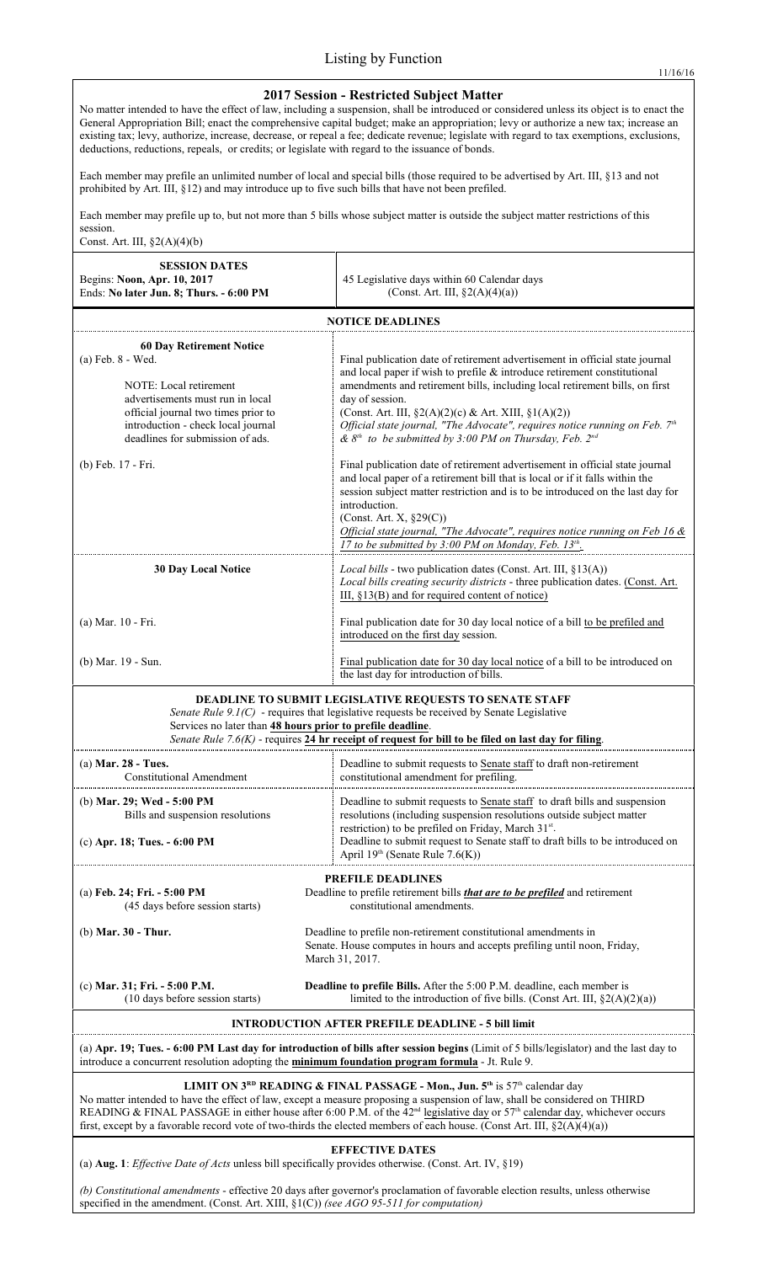## **2017 Session - Restricted Subject Matter**

No matter intended to have the effect of law, including a suspension, shall be introduced or considered unless its object is to enact the General Appropriation Bill; enact the comprehensive capital budget; make an appropriation; levy or authorize a new tax; increase an existing tax; levy, authorize, increase, decrease, or repeal a fee; dedicate revenue; legislate with regard to tax exemptions, exclusions, deductions, reductions, repeals, or credits; or legislate with regard to the issuance of bonds.

Each member may prefile an unlimited number of local and special bills (those required to be advertised by Art. III, §13 and not prohibited by Art. III, §12) and may introduce up to five such bills that have not been prefiled.

Each member may prefile up to, but not more than 5 bills whose subject matter is outside the subject matter restrictions of this session.

Const. Art. III,  $\S2(A)(4)(b)$ 

| $\sim$ unst. The III, $X\sim$ (Ty(T)(U)                                                                                                                                                                                                                                                                                                                                                                                                                                                                                           |                                                                                                                                                                                                                                                                                                                                                                                                                                                                                      |  |
|-----------------------------------------------------------------------------------------------------------------------------------------------------------------------------------------------------------------------------------------------------------------------------------------------------------------------------------------------------------------------------------------------------------------------------------------------------------------------------------------------------------------------------------|--------------------------------------------------------------------------------------------------------------------------------------------------------------------------------------------------------------------------------------------------------------------------------------------------------------------------------------------------------------------------------------------------------------------------------------------------------------------------------------|--|
| <b>SESSION DATES</b><br>Begins: Noon, Apr. 10, 2017<br>Ends: No later Jun. 8; Thurs. - 6:00 PM                                                                                                                                                                                                                                                                                                                                                                                                                                    | 45 Legislative days within 60 Calendar days<br>(Const. Art. III, $\S2(A)(4)(a)$ )                                                                                                                                                                                                                                                                                                                                                                                                    |  |
| <b>NOTICE DEADLINES</b>                                                                                                                                                                                                                                                                                                                                                                                                                                                                                                           |                                                                                                                                                                                                                                                                                                                                                                                                                                                                                      |  |
| <b>60 Day Retirement Notice</b><br>(a) Feb. 8 - Wed.<br>NOTE: Local retirement<br>advertisements must run in local<br>official journal two times prior to<br>introduction - check local journal<br>deadlines for submission of ads.                                                                                                                                                                                                                                                                                               | Final publication date of retirement advertisement in official state journal<br>and local paper if wish to prefile $\&$ introduce retirement constitutional<br>amendments and retirement bills, including local retirement bills, on first<br>day of session.<br>(Const. Art. III, $\S2(A)(2)(c)$ & Art. XIII, $\S1(A)(2))$<br>Official state journal, "The Advocate", requires notice running on Feb. $7th$<br>& $8th$ to be submitted by 3:00 PM on Thursday, Feb. 2 <sup>nd</sup> |  |
| (b) Feb. 17 - Fri.                                                                                                                                                                                                                                                                                                                                                                                                                                                                                                                | Final publication date of retirement advertisement in official state journal<br>and local paper of a retirement bill that is local or if it falls within the<br>session subject matter restriction and is to be introduced on the last day for<br>introduction.<br>(Const. Art. X, $\S29(C)$ )<br>Official state journal, "The Advocate", requires notice running on Feb 16 &<br>17 to be submitted by 3:00 PM on Monday, Feb. 13th                                                  |  |
| <b>30 Day Local Notice</b>                                                                                                                                                                                                                                                                                                                                                                                                                                                                                                        | Local bills - two publication dates (Const. Art. III, §13(A))<br>Local bills creating security districts - three publication dates. (Const. Art.<br>III, $\S$ 13(B) and for required content of notice)                                                                                                                                                                                                                                                                              |  |
| (a) Mar. 10 - Fri.                                                                                                                                                                                                                                                                                                                                                                                                                                                                                                                | Final publication date for 30 day local notice of a bill to be prefiled and<br>introduced on the first day session.                                                                                                                                                                                                                                                                                                                                                                  |  |
| (b) Mar. 19 - Sun.                                                                                                                                                                                                                                                                                                                                                                                                                                                                                                                | Final publication date for 30 day local notice of a bill to be introduced on<br>the last day for introduction of bills.                                                                                                                                                                                                                                                                                                                                                              |  |
| DEADLINE TO SUBMIT LEGISLATIVE REQUESTS TO SENATE STAFF<br>Senate Rule 9.1(C) - requires that legislative requests be received by Senate Legislative<br>Services no later than 48 hours prior to prefile deadline.<br>Senate Rule 7.6(K) - requires 24 hr receipt of request for bill to be filed on last day for filing.                                                                                                                                                                                                         |                                                                                                                                                                                                                                                                                                                                                                                                                                                                                      |  |
| (a) Mar. 28 - Tues.<br>Constitutional Amendment                                                                                                                                                                                                                                                                                                                                                                                                                                                                                   | Deadline to submit requests to Senate staff to draft non-retirement<br>constitutional amendment for prefiling.                                                                                                                                                                                                                                                                                                                                                                       |  |
| (b) Mar. 29; Wed - 5:00 PM<br>Bills and suspension resolutions<br>(c) Apr. 18; Tues. - 6:00 PM                                                                                                                                                                                                                                                                                                                                                                                                                                    | Deadline to submit requests to Senate staff to draft bills and suspension<br>resolutions (including suspension resolutions outside subject matter<br>restriction) to be prefiled on Friday, March 31st.<br>Deadline to submit request to Senate staff to draft bills to be introduced on<br>April $19th$ (Senate Rule 7.6(K))                                                                                                                                                        |  |
| (a) Feb. 24; Fri. - 5:00 PM<br>(45 days before session starts)<br>$(b)$ Mar. 30 - Thur.                                                                                                                                                                                                                                                                                                                                                                                                                                           | PREFILE DEADLINES<br>Deadline to prefile retirement bills that are to be prefiled and retirement<br>constitutional amendments.<br>Deadline to prefile non-retirement constitutional amendments in<br>Senate. House computes in hours and accepts prefiling until noon, Friday,<br>March 31, 2017.                                                                                                                                                                                    |  |
| (c) Mar. 31; Fri. - 5:00 P.M.<br>(10 days before session starts)                                                                                                                                                                                                                                                                                                                                                                                                                                                                  | Deadline to prefile Bills. After the 5:00 P.M. deadline, each member is<br>limited to the introduction of five bills. (Const Art. III, $\S2(A)(2)(a)$ )                                                                                                                                                                                                                                                                                                                              |  |
| ION AFTER PREFILE DEADLINE - 5 bill limit                                                                                                                                                                                                                                                                                                                                                                                                                                                                                         |                                                                                                                                                                                                                                                                                                                                                                                                                                                                                      |  |
| (a) Apr. 19; Tues. - 6:00 PM Last day for introduction of bills after session begins (Limit of 5 bills/legislator) and the last day to<br>introduce a concurrent resolution adopting the <b>minimum foundation program formula</b> - Jt. Rule 9.                                                                                                                                                                                                                                                                                  |                                                                                                                                                                                                                                                                                                                                                                                                                                                                                      |  |
| LIMIT ON 3 <sup>RD</sup> READING & FINAL PASSAGE - Mon., Jun. 5 <sup>th</sup> is 57 <sup>th</sup> calendar day<br>No matter intended to have the effect of law, except a measure proposing a suspension of law, shall be considered on THIRD<br>READING & FINAL PASSAGE in either house after 6:00 P.M. of the 42 <sup>nd</sup> legislative day or 57 <sup>th</sup> calendar day, whichever occurs<br>first, except by a favorable record vote of two-thirds the elected members of each house. (Const Art. III, $\S2(A)(4)(a)$ ) |                                                                                                                                                                                                                                                                                                                                                                                                                                                                                      |  |
| <b>EFFECTIVE DATES</b><br>(a) Aug. 1: <i>Effective Date of Acts</i> unless bill specifically provides otherwise. (Const. Art. IV, $\S$ 19)                                                                                                                                                                                                                                                                                                                                                                                        |                                                                                                                                                                                                                                                                                                                                                                                                                                                                                      |  |

*(b) Constitutional amendments* - effective 20 days after governor's proclamation of favorable election results, unless otherwise specified in the amendment. (Const. Art. XIII, §1(C)) *(see AGO 95-511 for computation)*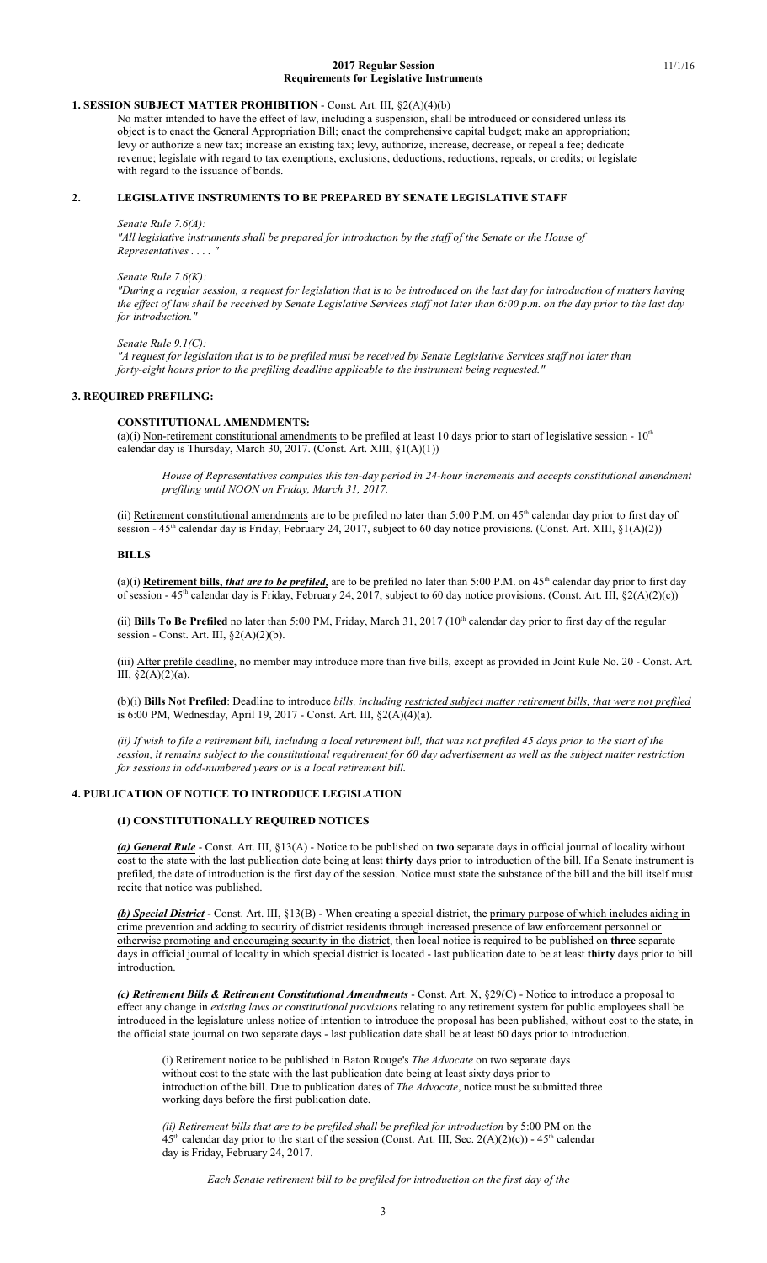#### **2017 Regular Session** 11/1/16 **Requirements for Legislative Instruments**

# **1. SESSION SUBJECT MATTER PROHIBITION** - Const. Art. III, §2(A)(4)(b)

No matter intended to have the effect of law, including a suspension, shall be introduced or considered unless its object is to enact the General Appropriation Bill; enact the comprehensive capital budget; make an appropriation; levy or authorize a new tax; increase an existing tax; levy, authorize, increase, decrease, or repeal a fee; dedicate revenue; legislate with regard to tax exemptions, exclusions, deductions, reductions, repeals, or credits; or legislate with regard to the issuance of bonds.

# **2. LEGISLATIVE INSTRUMENTS TO BE PREPARED BY SENATE LEGISLATIVE STAFF**

#### *Senate Rule 7.6(A):*

*"All legislative instruments shall be prepared for introduction by the staff of the Senate or the House of Representatives . . . . "*

### *Senate Rule 7.6(K):*

*"During a regular session, a request for legislation that is to be introduced on the last day for introduction of matters having the effect of law shall be received by Senate Legislative Services staff not later than 6:00 p.m. on the day prior to the last day for introduction."*

#### *Senate Rule 9.1(C):*

*"A request for legislation that is to be prefiled must be received by Senate Legislative Services staff not later than forty-eight hours prior to the prefiling deadline applicable to the instrument being requested."*

## **3. REQUIRED PREFILING:**

## **CONSTITUTIONAL AMENDMENTS:**

(a)(i) Non-retirement constitutional amendments to be prefiled at least 10 days prior to start of legislative session -  $10<sup>th</sup>$ calendar day is Thursday, March 30, 2017. (Const. Art. XIII, §1(A)(1))

*House of Representatives computes this ten-day period in 24-hour increments and accepts constitutional amendment prefiling until NOON on Friday, March 31, 2017.*

(ii) Retirement constitutional amendments are to be prefiled no later than 5:00 P.M. on  $45<sup>th</sup>$  calendar day prior to first day of session - 45<sup>th</sup> calendar day is Friday, February 24, 2017, subject to 60 day notice provisions. (Const. Art. XIII, §1(A)(2))

## **BILLS**

(a)(i) **Retirement bills,** *that are to be prefiled*, are to be prefiled no later than 5:00 P.M. on 45<sup>th</sup> calendar day prior to first day of session - 45<sup>th</sup> calendar day is Friday, February 24, 2017, subject to 60 day notice provisions. (Const. Art. III, §2(A)(2)(c))

(ii) Bills To Be Prefiled no later than 5:00 PM, Friday, March 31, 2017 (10<sup>th</sup> calendar day prior to first day of the regular session - Const. Art. III, §2(A)(2)(b).

(iii) After prefile deadline, no member may introduce more than five bills, except as provided in Joint Rule No. 20 - Const. Art. III,  $\S2(A)(2)(a)$ .

(b)(i) **Bills Not Prefiled**: Deadline to introduce *bills, including restricted subject matter retirement bills, that were not prefiled* is 6:00 PM, Wednesday, April 19, 2017 - Const. Art. III, §2(A)(4)(a).

*(ii) If wish to file a retirement bill, including a local retirement bill, that was not prefiled 45 days prior to the start of the session, it remains subject to the constitutional requirement for 60 day advertisement as well as the subject matter restriction for sessions in odd-numbered years or is a local retirement bill.*

## **4. PUBLICATION OF NOTICE TO INTRODUCE LEGISLATION**

## **(1) CONSTITUTIONALLY REQUIRED NOTICES**

*(a) General Rule* - Const. Art. III, §13(A) - Notice to be published on **two** separate days in official journal of locality without cost to the state with the last publication date being at least **thirty** days prior to introduction of the bill. If a Senate instrument is prefiled, the date of introduction is the first day of the session. Notice must state the substance of the bill and the bill itself must recite that notice was published.

*(b) Special District* - Const. Art. III, §13(B) - When creating a special district, the primary purpose of which includes aiding in crime prevention and adding to security of district residents through increased presence of law enforcement personnel or otherwise promoting and encouraging security in the district, then local notice is required to be published on **three** separate days in official journal of locality in which special district is located - last publication date to be at least **thirty** days prior to bill introduction.

*(c) Retirement Bills & Retirement Constitutional Amendments* - Const. Art. X, §29(C) - Notice to introduce a proposal to effect any change in *existing laws or constitutional provisions* relating to any retirement system for public employees shall be introduced in the legislature unless notice of intention to introduce the proposal has been published, without cost to the state, in the official state journal on two separate days - last publication date shall be at least 60 days prior to introduction.

(i) Retirement notice to be published in Baton Rouge's *The Advocate* on two separate days without cost to the state with the last publication date being at least sixty days prior to introduction of the bill. Due to publication dates of *The Advocate*, notice must be submitted three working days before the first publication date.

*(ii) Retirement bills that are to be prefiled shall be prefiled for introduction* by 5:00 PM on the  $45<sup>th</sup>$  calendar day prior to the start of the session (Const. Art. III, Sec. 2(A)(2)(c)) -  $45<sup>th</sup>$  calendar day is Friday, February 24, 2017.

*Each Senate retirement bill to be prefiled for introduction on the first day of the*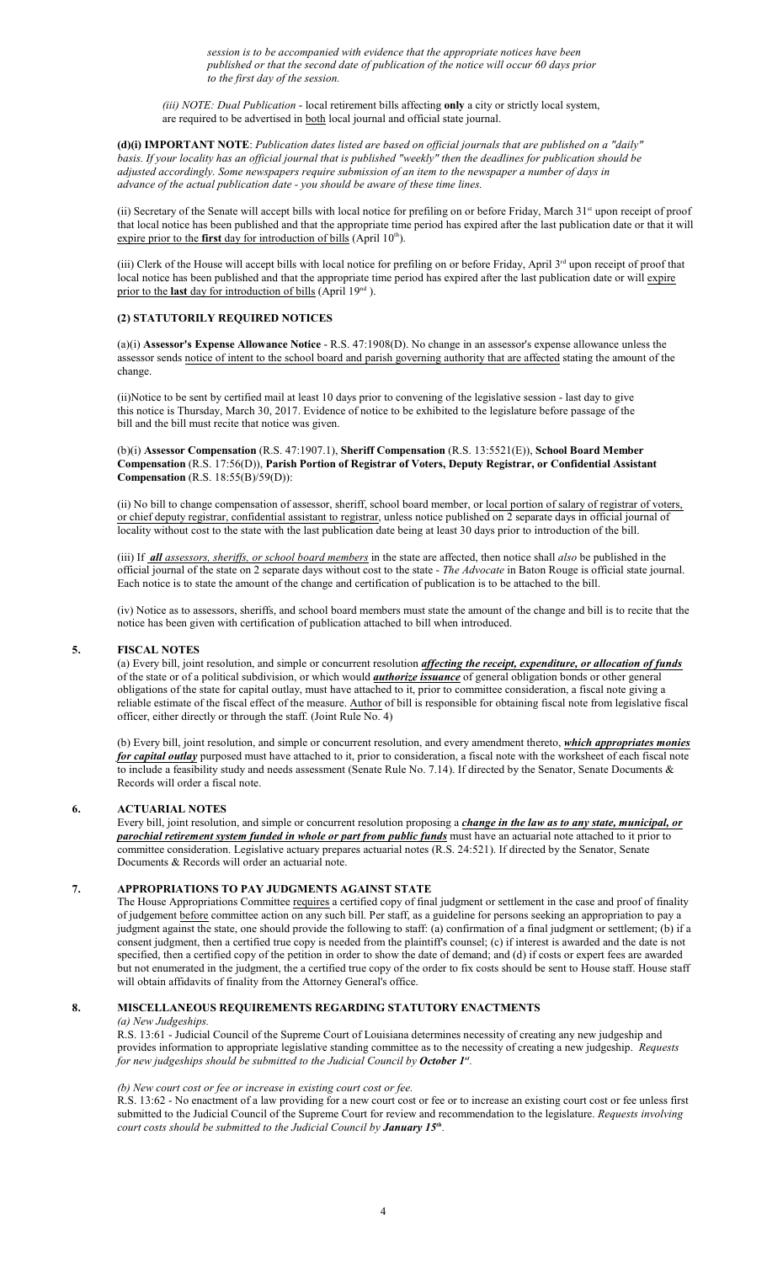*session is to be accompanied with evidence that the appropriate notices have been published or that the second date of publication of the notice will occur 60 days prior to the first day of the session.*

*(iii) NOTE: Dual Publication* - local retirement bills affecting **only** a city or strictly local system, are required to be advertised in both local journal and official state journal.

**(d)(i) IMPORTANT NOTE**: *Publication dates listed are based on official journals that are published on a "daily" basis. If your locality has an official journal that is published "weekly" then the deadlines for publication should be adjusted accordingly. Some newspapers require submission of an item to the newspaper a number of days in advance of the actual publication date - you should be aware of these time lines.*

(ii) Secretary of the Senate will accept bills with local notice for prefiling on or before Friday, March 31st upon receipt of proof that local notice has been published and that the appropriate time period has expired after the last publication date or that it will expire prior to the **first** day for introduction of bills (April 10<sup>th</sup>).

(iii) Clerk of the House will accept bills with local notice for prefiling on or before Friday, April 3<sup>rd</sup> upon receipt of proof that local notice has been published and that the appropriate time period has expired after the last publication date or will expire prior to the **last** day for introduction of bills (April 19<sup>nd</sup>).

# **(2) STATUTORILY REQUIRED NOTICES**

(a)(i) **Assessor's Expense Allowance Notice** - R.S. 47:1908(D). No change in an assessor's expense allowance unless the assessor sends notice of intent to the school board and parish governing authority that are affected stating the amount of the change.

(ii)Notice to be sent by certified mail at least 10 days prior to convening of the legislative session - last day to give this notice is Thursday, March 30, 2017. Evidence of notice to be exhibited to the legislature before passage of the bill and the bill must recite that notice was given.

### (b)(i) **Assessor Compensation** (R.S. 47:1907.1), **Sheriff Compensation** (R.S. 13:5521(E)), **School Board Member Compensation** (R.S. 17:56(D)), **Parish Portion of Registrar of Voters, Deputy Registrar, or Confidential Assistant Compensation** (R.S. 18:55(B)/59(D)):

(ii) No bill to change compensation of assessor, sheriff, school board member, or local portion of salary of registrar of voters, or chief deputy registrar, confidential assistant to registrar, unless notice published on 2 separate days in official journal of locality without cost to the state with the last publication date being at least 30 days prior to introduction of the bill.

(iii) If *all assessors, sheriffs, or school board members* in the state are affected, then notice shall *also* be published in the official journal of the state on 2 separate days without cost to the state - *The Advocate* in Baton Rouge is official state journal. Each notice is to state the amount of the change and certification of publication is to be attached to the bill.

(iv) Notice as to assessors, sheriffs, and school board members must state the amount of the change and bill is to recite that the notice has been given with certification of publication attached to bill when introduced.

## **5. FISCAL NOTES**

(a) Every bill, joint resolution, and simple or concurrent resolution *affecting the receipt, expenditure, or allocation of funds* of the state or of a political subdivision, or which would *authorize issuance* of general obligation bonds or other general obligations of the state for capital outlay, must have attached to it, prior to committee consideration, a fiscal note giving a reliable estimate of the fiscal effect of the measure. Author of bill is responsible for obtaining fiscal note from legislative fiscal officer, either directly or through the staff. (Joint Rule No. 4)

(b) Every bill, joint resolution, and simple or concurrent resolution, and every amendment thereto, *which appropriates monies for capital outlay* purposed must have attached to it, prior to consideration, a fiscal note with the worksheet of each fiscal note to include a feasibility study and needs assessment (Senate Rule No. 7.14). If directed by the Senator, Senate Documents & Records will order a fiscal note.

## **6. ACTUARIAL NOTES**

Every bill, joint resolution, and simple or concurrent resolution proposing a *change in the law as to any state, municipal, or parochial retirement system funded in whole or part from public funds* must have an actuarial note attached to it prior to committee consideration. Legislative actuary prepares actuarial notes (R.S. 24:521). If directed by the Senator, Senate Documents & Records will order an actuarial note.

## **7. APPROPRIATIONS TO PAY JUDGMENTS AGAINST STATE**

The House Appropriations Committee requires a certified copy of final judgment or settlement in the case and proof of finality of judgement before committee action on any such bill. Per staff, as a guideline for persons seeking an appropriation to pay a judgment against the state, one should provide the following to staff: (a) confirmation of a final judgment or settlement; (b) if a consent judgment, then a certified true copy is needed from the plaintiff's counsel; (c) if interest is awarded and the date is not specified, then a certified copy of the petition in order to show the date of demand; and (d) if costs or expert fees are awarded but not enumerated in the judgment, the a certified true copy of the order to fix costs should be sent to House staff. House staff will obtain affidavits of finality from the Attorney General's office.

### **8. MISCELLANEOUS REQUIREMENTS REGARDING STATUTORY ENACTMENTS**

## *(a) New Judgeships.*

R.S. 13:61 - Judicial Council of the Supreme Court of Louisiana determines necessity of creating any new judgeship and provides information to appropriate legislative standing committee as to the necessity of creating a new judgeship. *Requests for new judgeships should be submitted to the Judicial Council by October 1st .*

### *(b) New court cost or fee or increase in existing court cost or fee.*

R.S. 13:62 - No enactment of a law providing for a new court cost or fee or to increase an existing court cost or fee unless first submitted to the Judicial Council of the Supreme Court for review and recommendation to the legislature. *Requests involving court costs should be submitted to the Judicial Council by January 15 th .*